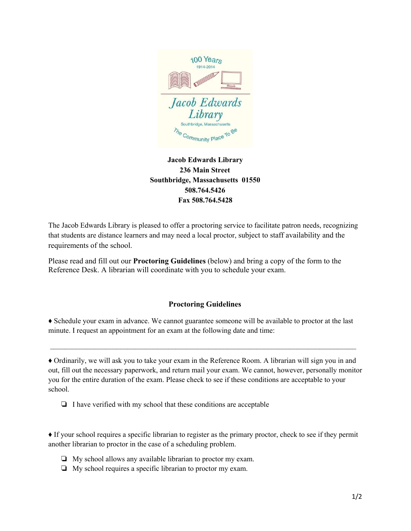

## **Jacob Edwards Library 236 Main Street Southbridge, Massachusetts 01550 508.764.5426 Fax 508.764.5428**

The Jacob Edwards Library is pleased to offer a proctoring service to facilitate patron needs, recognizing that students are distance learners and may need a local proctor, subject to staff availability and the requirements of the school.

Please read and fill out our **[Proctoring](https://www.wakefieldlibrary.org/wp-content/uploads/2009/09/Proctoring-Guidelines.pdf) Guidelines** (below) and bring a copy of the form to the Reference Desk. A librarian will coordinate with you to schedule your exam.

## **Proctoring Guidelines**

♦ Schedule your exam in advance. We cannot guarantee someone will be available to proctor at the last minute. I request an appointment for an exam at the following date and time:

 $\mathcal{L}_\text{max} = \frac{1}{2} \sum_{i=1}^n \mathcal{L}_\text{max} = \frac{1}{2} \sum_{i=1}^n \mathcal{L}_\text{max} = \frac{1}{2} \sum_{i=1}^n \mathcal{L}_\text{max} = \frac{1}{2} \sum_{i=1}^n \mathcal{L}_\text{max} = \frac{1}{2} \sum_{i=1}^n \mathcal{L}_\text{max} = \frac{1}{2} \sum_{i=1}^n \mathcal{L}_\text{max} = \frac{1}{2} \sum_{i=1}^n \mathcal{L}_\text{max} = \frac{1}{2} \sum_{i=$ 

♦ Ordinarily, we will ask you to take your exam in the Reference Room. A librarian will sign you in and out, fill out the necessary paperwork, and return mail your exam. We cannot, however, personally monitor you for the entire duration of the exam. Please check to see if these conditions are acceptable to your school.

❏ I have verified with my school that these conditions are acceptable

♦ If your school requires a specific librarian to register as the primary proctor, check to see if they permit another librarian to proctor in the case of a scheduling problem.

- ❏ My school allows any available librarian to proctor my exam.
- ❏ My school requires a specific librarian to proctor my exam.